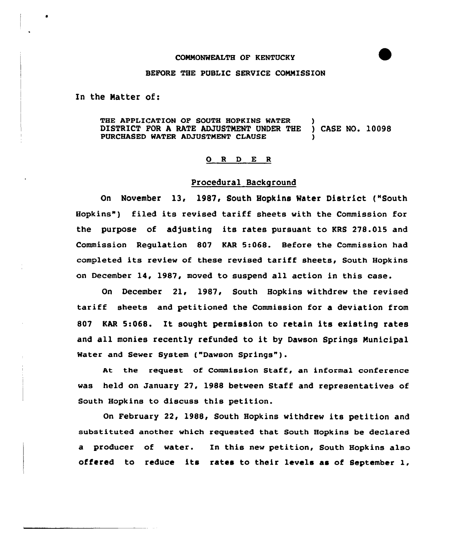### CONNONWEALTH OF KENTUCKY

# BEFORE THE PUBLIC SERUICE CONNISSION

In the Matter of:

THE APPLICATION OF SOUTH HOPKINS WATER )<br>DISTRICT FOR A RATE ADJUSTMENT UNDER THE ) CASE NO. 10098 DISTRICT FOR A RATE ADJUSTMENT UNDER THE PURCHASED WATER ADJVSTNENT CLAUSE )

# 0 <sup>R</sup> <sup>D</sup> E <sup>R</sup>

# Procedural Background

On November 13, 1987, South Hopkins Water District ("South Hopkins" ) filed its revised tariff sheets with the Commission for the purpose of adjusting its rates pursuant to KRS 278.015 and Commission Regulation 807 KAR 5:068. Before the Commission had completed its review of these revised tariff sheets, South Hopkins on December 14, 1987, moved to suspend all action in this case.

On December 21, 1987, South Hopkins withdrew the revised tariff sheets and petitioned the Commission for a deviation from <sup>807</sup> KAR 5:068. It sought permission to retain its existing rates and all monies recently refunded to it by Dawson Springs Municipal Water and Sewer System ("Dawson Springs").

At the request of Commission Staff, an informal conference was held on January 27, 1988 between Staff and representatives of South Hopkins to discuss this petition.

On February 22, 1988, South Hopkins withdrew its petition and substituted another which requested that South Hopkins be declared a producer of water. In this new petition, South Hopkins also offered to reduce its rates to their levels as of September l,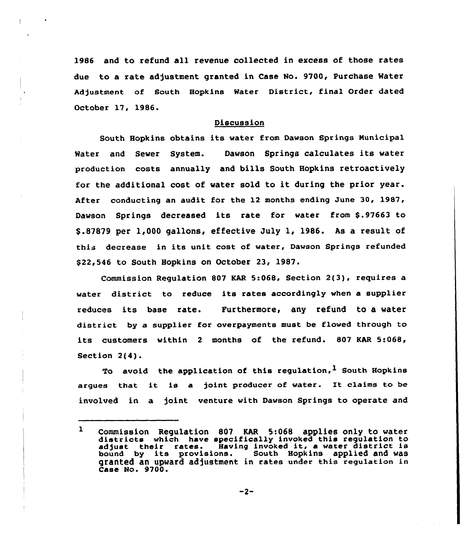1986 and to refund all revenue collected in excess of those rates due to a rate adjustment granted in Case No. 9700, Purchase Water Adjustment of South Hopkins Water District, final Order dated October 17, 1986.

# Discussion

South Hopkins obtains its water from Dawson Springs Municipal Water and Sewer System. Dawson Springs calculates its water production costs annually and bills South Hopkins retroactively for the additional cost of water sold to it during the prior year. After conducting an audit for the 12 months ending June 30, 1987, Dawson Springs decreased its rate for water from \$.97663 to \$ .82829 per 1,000 gallons, effective July 1, 1986. As a result of this decrease in its unit cost of water, Dawson Springs refunded \$22,546 to South Hopkins on October 23, 1987.

Commission Regulation 807 KAR 5:068, Section 2(3), requires a water district to reduce its rates accordingly when a supplier reduces its base rate. Furthermore, any refund to a water district by a supplier for ovetpayments must be flowed through to its customers within <sup>2</sup> months of the refund. 807 KAR 5:068, Section 2(4).

To avoid the application of this regulation,  $<sup>1</sup>$  South Hopkins</sup> arques that it is a joint producer of water. It claims to be involved in a joint venture with Dawson Springs to operate and

 $-2-$ 

 $\mathbf{1}$ Commission Regulation <sup>807</sup> KAR 5:068 applies only to water districts which have specifically invoked this regulation to districts which have specifically invoked this regulation to<br>adjust their rates. Having invoked it, a water district is adjust their rates. Having invoked it, a water district in<br>bound by its provisions. South Hopkins applied and was bound by its provisions. South Hopkins applied and was<br>granted an upward adjustment in rates under this regulation in Case No. 9700.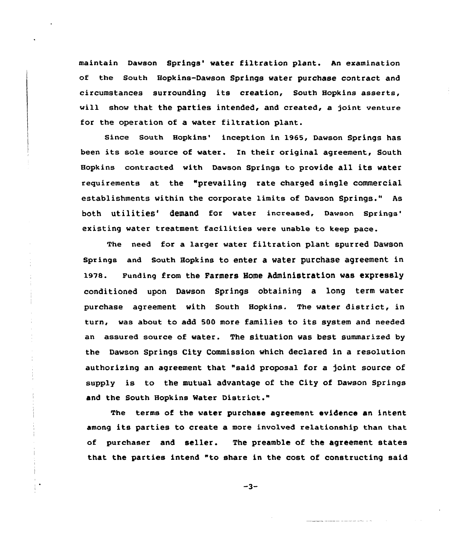maintain Dawson Springs' water filtration plant. An examination of the South Hopkins-Dawson Springs water purchase contract and circumstances surrounding its creation, South Hopkins asserts, will show that the parties intended, and created, a joint venture for the operation of a water filtration plant.

Since South Hopkins' inception in 1965, Dawson Springs has been its sole source of water. In their original agreement, South Hopkins contracted with Dawson springs to provide all its water requirements at the "prevailing rate charged single commercial establishments within the corporate limits of Davson Springs." As both utilities' demand for water increased, Dawson Springs' existing water treatment facilities were unable to keep pace.

The need for a larger water filtration plant spurred Dawson Springs and South Hopkins to enter a water purchase agreement in 1978. Funding from the Farmers Home Administration was expressly conditioned upon Dawson Springs obtaining a long term water purchase agreement vith South Hopkins. The water district, in turn, vas about to add 5OO more families to its system and needed an assured source of water. The situation was best summarized by the Dawson Springs City Commission which declared in a resolution authorizing an agreement that "said proposal for a joint source of supply is to the mutual advantage of the City of Dawson Springs and the South Hopkins Mater District."

The terms of the water purchase agreement evidence an intent among its parties to create a more involved relationship than that of purchaser and seller. The preamble of the agreement states that the parties intend "to share in the cost of constructing said

 $-3-$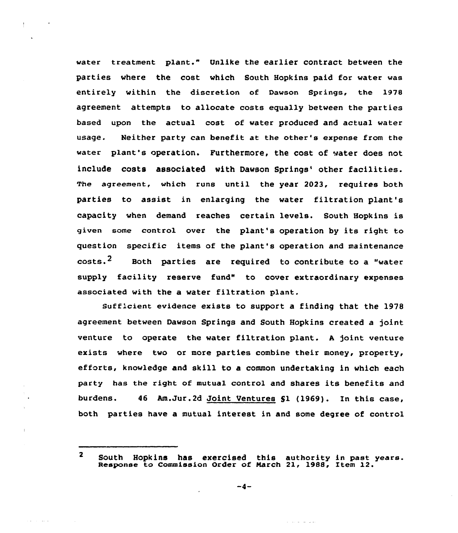water treatment plant." Unlike the earlier contract between the parties where the cost which South Hopkins paid for water was entirely within the discretion of Dawson Springs, the 1978 agreement attempts to allocate costs equally between the parties based upon the actual cost of water produced and actual water usage. Neither party can benefit at the other's expense from the water plant's operation. Furthermore, the cost of water does not include costs associated with Dawson Springs' other facilities. The agreement, which runs until the year 2023, requires both parties to assist in enlarging the water filtration plant's capacity when demand reaches certain levels. South Hopkins is given some control over the plant's operation by its right to question specific items af the plant's operation and maintenance  $costs.<sup>2</sup>$  Both parties are required to contribute to a "water supply facility reserve fund" to cover extraordinary expenses associated with the a water filtration plant.

Sufficient evidence exists to support a finding that the 1978 agreement between Dawson Springs and South Hopkins created a joint venture to operate the water filtration plant. <sup>A</sup> joint venture exists where two or more parties combine their money, property, efforts, knowledge and skill to a common undertaking in which each party has the right of mutual control and shares its benefits and burdens. 46 Am.Jur.2d Joint Ventures \$1 (1969). In this case, both parties have a mutual interest in and some degree of control

a shekara ta

 $\overline{2}$ South Hopkins has exercised this authority in past years. Response to Commission Qrder of March 21, 1988, Item 12.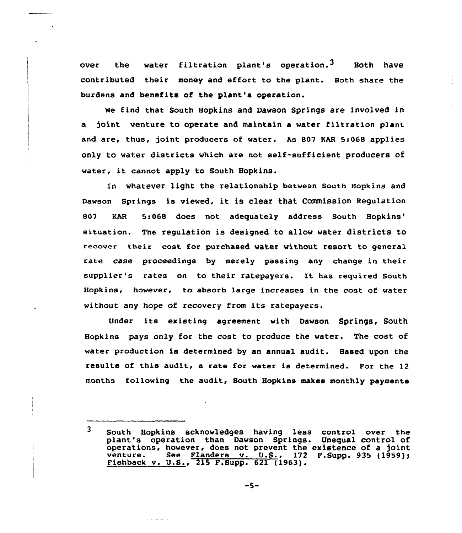over the water filtration plant's operation.<sup>3</sup> Both have contributed their money and effort to the plant. Both share the burdens and benefits of the plant's operation.

We find that South Hopkins and Dawson Springs are involved in a )oint venture to operate and maintain a water filtration plant and are, thus, joint producers of water. As 807 KAR 5:068 applies only to water districts which are not self-sufficient producers of water, it cannot apply to South Hopkins.

In whatever light the relationship between South Hopkins and Dawson springs is viewed, it is clear that Commission Regulation 807 KAR 5:068 does not adequately address South The regulation is designed to allow water districts to recover their cost for purchased water without resort to general rate case proceedings by merely passing any change in their supplier's rates on to their ratepayers. It has required South Hopkins, however, to absorb large increases in the cost of water without any hope ot recovery from its ratepayers.

under its existing agreement with Dawson Springs, South Hopkins pays only for the cost to produce the water. The cost of water production is determined by an annual audit. Based upon the results of this audit, a rate for water is determined. For the 12 months following the audit, South Hopkins makes monthly payments

 $\overline{\mathbf{3}}$ south Hopkins acknowledges having less control over the plant's operation than Dawson Springs. Unequal control of operations, however, does not prevent the existence of a joint venture. See Flanders v. U.S., 172 F.Supp. 935 (1959); Pishback v. U.S., 215 F.Supp. 621 (1963).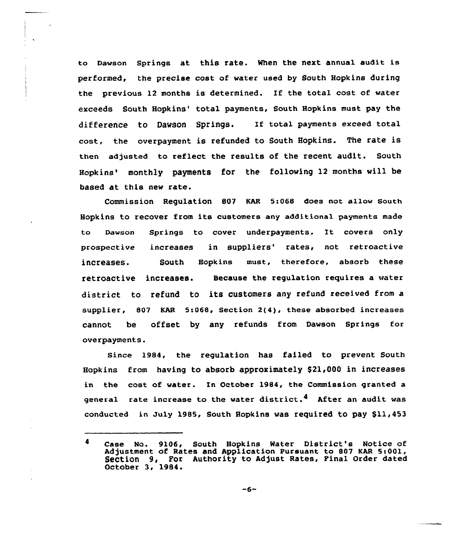to Dawson Springs at this rate. When the next annual audit is performed, the precise cost of water used by South Hopkins during the previous 12 months is determined. If the total cost of water exceeds South Hopkins' total payments, South Hopkins must pay the difference to Dawson Springs. If total payments exceed total cost, the overpayment is refunded to South Hopkins. The rate is then adjusted to reflect the results of the recent audit. South Hopkins' monthly payments for the following 12 months will be based at this new rate.

Commission Regulation 807 KAR 5:068 does not allow South Hopkins to recover from its customers any additional payments made ta Dawsan Springs ta cover underpayments. It covers only prospective increases in suppliers' rates, not retroactive increases. South Hopkins must, therefore, absorb these retroactive increases. Because the regulation requires a water district to refund to its customers any refund received from a supplier, 807 KAR 5:068, Section 2(4), these absorbed increases cannot be offset by any refunds from Dawson Springs for overpayments.

Since 1984, the regulation has failed to prevent South Hopkins from having to absorb approximately \$21,000 in increases in the cost of water. In October 1984, the Commission granted a general fate increase to the water district.<sup>4</sup> Aft<mark>er</mark> an audit was conducted in July 1985, South Hopkins was required to pay \$11,453

Case No. 9106, South Hopkins Water District's Notice of Adjustment of Rates and Application Pursuant to 807 KAR 5:001, Section 9, For Authority to Adjust Rates, Final Order dated October 3, 1984.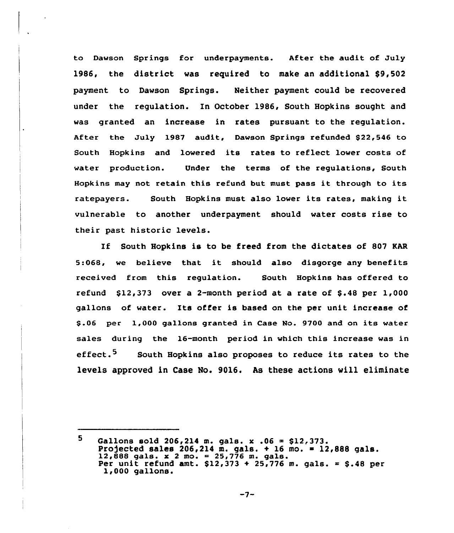to Dawson Springs for underpayments. After the audit of July 1986, the district was required to make an additional  $$9,502$ payment to Dawson Springs. Neither payment could be recovered under the regulation. In October 1986, South Hopkins sought and was granted an increase in rates pursuant to the regulation. After the July 1987 audit, Dawson Springs refunded \$22,546 to South Hopkins and lowered its rates to reflect lower costs of water production. Under the terms of the regulations, South Hopkins may not retain this refund but must pass it through to its ratepayers. South Hopkins must also lower its rates, making it vulnerable to another underpayment should water costs rise to their past historic levels.

If South Hopkins is to be freed from the dictates of 807 KAR 5:068, we believe that it should also disgorge any benefits received from this regulation. South Hopkins has offered to refund  $$12,373$  over a 2-month period at a rate of  $$.48$  per  $1,000$ gallons of water. Its offer is based on the per unit increase of \$ .06 per 1,000 gallons granted in Case No. 9700 and on its water sales during the 16-month period in which this increase was in effect.<sup>5</sup> South Hopkins also proposes to reduce its rates to the levels approved in Case No. 9016. As these actions will eliminate

<sup>5.</sup> Gallons sold  $206, 214$  m. gals. x .06 = \$12,373. Projected sales 206,214 m. gals. + 16 mo. = 12,888 gals.<br>12,888 gals. x 2 mo. = 25,776 m. gals. 12,888 gals. x 2 mo. = 25,776 m. gals.  $Per$  unit refund amt. \$12,373 + 25,776 m. gals. = \$.48 per 1,000 gallons.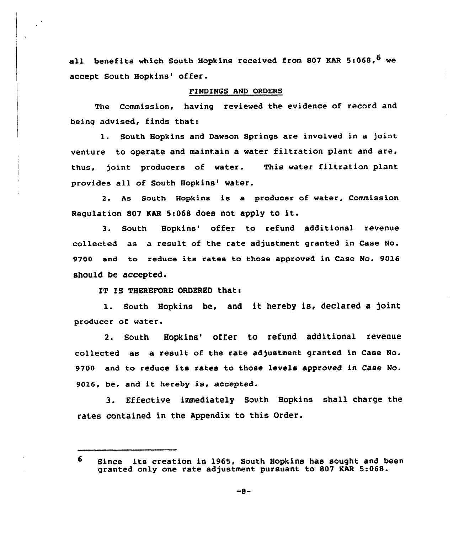all benefits which South Hopkins received from 807 KAR 5:068, <sup>6</sup> we accept South Hopkins' offer.

# FINDINGS AND ORDERS

The Commission, having reviewed the evidence of record and being advised, finds that:

1. South Hopkins and Dawson Springs are involved in a joint venture to operate and maintain a water filtration plant and are, thus, joint producers of water. This water filtration plant provides all of South Hopkins' water.

2. As South Hopkins is a producer of water, Commission Regulation <sup>807</sup> MR 5:068 does not apply to it.

3. South Hopkins' offer to refund additional revenue collected as a result of the rate adjustment granted in Case No. 9700 and to reduce its rates to those approved in Case No. 9016 should be accepted.

IT IS THEREFORE ORDERED that:

1. South Hopkins be, and it hereby is, declared <sup>a</sup> joint producer of water.

2. South Hopkins' offer to refund additional revenue collected as a result of the rate adjustment granted in Case No. 9700 and to reduce its rates to those levels approved in Case No. 9016, be, and it hereby is, accepted.

3. Effective immediately South Hopkins shall charge the rates contained in the Appendix to this Order.

 $-8-$ 

<sup>6</sup> Since its creation in 1965, South Hopkins has sought and been granted only one rate adjustment pursuant to 807 KAR 5:068.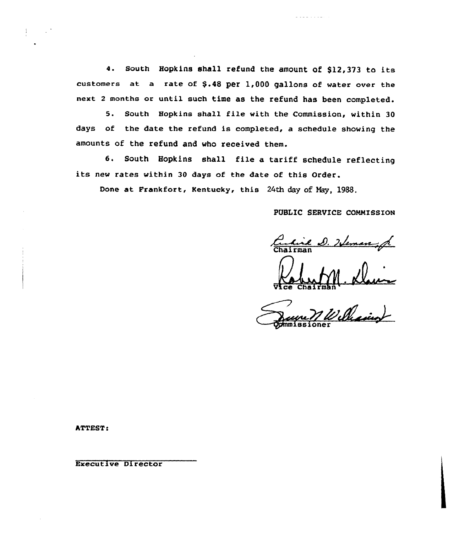4. South Hopkins shall refund the amount of \$l2,373 to its customers at a rate of \$.48 per 1,000 gallons of water over the next <sup>2</sup> months or until such time as the refund has been completed.

5. South Hopkins shall file with the Commission, within <sup>30</sup> days of the date the refund is completed, a schedule showing the amounts of the refund and who received them.

6. South Hopkins shall file <sup>a</sup> tariff schedule reflecting its new rates within <sup>30</sup> days of the date of this Order.

Done at Frankfort, Kentucky, this 24th day of Nay, 1988.

PUBLIC SERVICE COMMISSION

ina industria

<u>hil D. 2.</u>

Vice Chairm

 $u \mathscr{A} \cdot \mathbb{R}$ 

ATTEST:

Executive Director